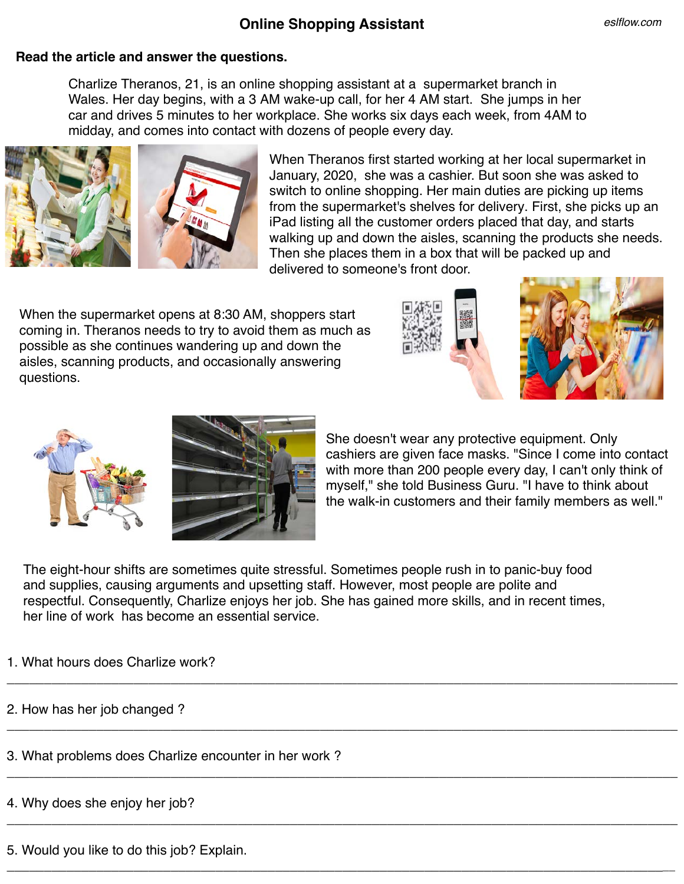## **Online Shopping Assistant**

## **Read the article and answer the questions.**

Charlize Theranos, 21, is an online shopping assistant at a supermarket branch in Wales. Her day begins, with a 3 AM wake-up call, for her 4 AM start. She jumps in her car and drives 5 minutes to her workplace. She works six days each week, from 4AM to midday, and comes into contact with dozens of people every day.



When Theranos first started working at her local supermarket in January, 2020, she was a cashier. But soon she was asked to switch to online shopping. Her main duties are picking up items from the supermarket's shelves for delivery. First, she picks up an iPad listing all the customer orders placed that day, and starts walking up and down the aisles, scanning the products she needs. Then she places them in a box that will be packed up and delivered to someone's front door.

When the supermarket opens at 8:30 AM, shoppers start coming in. Theranos needs to try to avoid them as much as possible as she continues wandering up and down the aisles, scanning products, and occasionally answering questions.







She doesn't wear any protective equipment. Only cashiers are given face masks. "Since I come into contact with more than 200 people every day, I can't only think of myself," she told Business Guru. "I have to think about the walk-in customers and their family members as well."

The eight-hour shifts are sometimes quite stressful. Sometimes people rush in to panic-buy food and supplies, causing arguments and upsetting staff. However, most people are polite and respectful. Consequently, Charlize enjoys her job. She has gained more skills, and in recent times, her line of work has become an essential service.

\_\_\_\_\_\_\_\_\_\_\_\_\_\_\_\_\_\_\_\_\_\_\_\_\_\_\_\_\_\_\_\_\_\_\_\_\_\_\_\_\_\_\_\_\_\_\_\_\_\_\_\_\_\_\_\_\_\_\_\_\_\_\_\_\_\_\_\_\_\_\_\_\_\_\_\_\_\_\_\_\_\_\_\_\_\_\_\_\_\_

\_\_\_\_\_\_\_\_\_\_\_\_\_\_\_\_\_\_\_\_\_\_\_\_\_\_\_\_\_\_\_\_\_\_\_\_\_\_\_\_\_\_\_\_\_\_\_\_\_\_\_\_\_\_\_\_\_\_\_\_\_\_\_\_\_\_\_\_\_\_\_\_\_\_\_\_\_\_\_\_\_\_\_\_\_\_\_\_\_\_

\_\_\_\_\_\_\_\_\_\_\_\_\_\_\_\_\_\_\_\_\_\_\_\_\_\_\_\_\_\_\_\_\_\_\_\_\_\_\_\_\_\_\_\_\_\_\_\_\_\_\_\_\_\_\_\_\_\_\_\_\_\_\_\_\_\_\_\_\_\_\_\_\_\_\_\_\_\_\_\_\_\_\_\_\_\_\_\_\_\_

\_\_\_\_\_\_\_\_\_\_\_\_\_\_\_\_\_\_\_\_\_\_\_\_\_\_\_\_\_\_\_\_\_\_\_\_\_\_\_\_\_\_\_\_\_\_\_\_\_\_\_\_\_\_\_\_\_\_\_\_\_\_\_\_\_\_\_\_\_\_\_\_\_\_\_\_\_\_\_\_\_\_\_\_\_\_\_\_\_\_

\_\_\_\_\_\_\_\_\_\_\_\_\_\_\_\_\_\_\_\_\_\_\_\_\_\_\_\_\_\_\_\_\_\_\_\_\_\_\_\_\_\_\_\_\_\_\_\_\_\_\_\_\_\_\_\_\_\_\_\_\_\_\_\_\_\_\_\_\_\_\_\_\_\_\_\_\_\_\_\_\_\_\_\_\_\_\_\_\_\_

1. What hours does Charlize work?

2. How has her job changed ?

3. What problems does Charlize encounter in her work ?

4. Why does she enjoy her job?

5. Would you like to do this job? Explain.